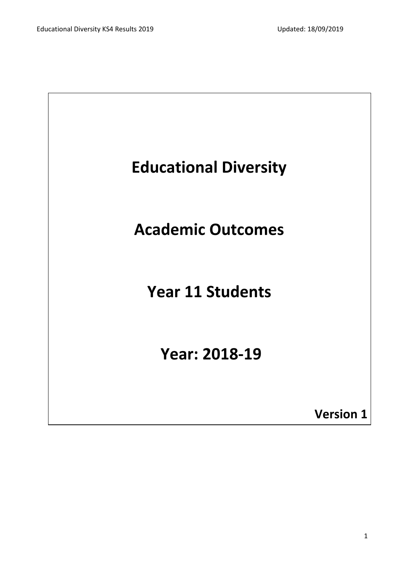

**Academic Outcomes**

# **Year 11 Students**

# **Year: 2018-19**

**Version 1**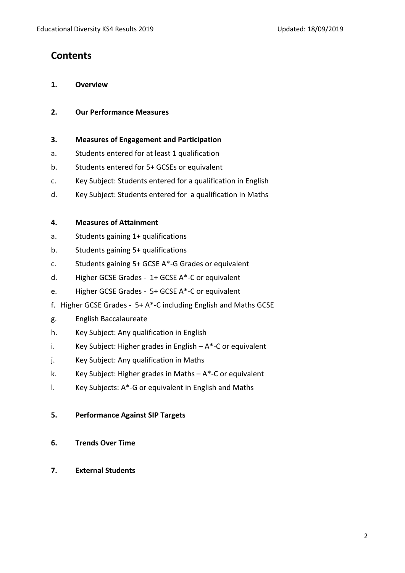### **Contents**

- **1. Overview**
- **2. Our Performance Measures**
- **3. Measures of Engagement and Participation**
- a. Students entered for at least 1 qualification
- b. Students entered for 5+ GCSEs or equivalent
- c. Key Subject: Students entered for a qualification in English
- d. Key Subject: Students entered for a qualification in Maths

#### **4. Measures of Attainment**

- a. Students gaining 1+ qualifications
- b. Students gaining 5+ qualifications
- c. Students gaining 5+ GCSE A\*-G Grades or equivalent
- d. Higher GCSE Grades 1+ GCSE A\*-C or equivalent
- e. Higher GCSE Grades 5+ GCSE A\*-C or equivalent
- f. Higher GCSE Grades 5+ A\*-C including English and Maths GCSE
- g. English Baccalaureate
- h. Key Subject: Any qualification in English
- i. Key Subject: Higher grades in English  $-A^*$ -C or equivalent
- j. Key Subject: Any qualification in Maths
- k. Key Subject: Higher grades in Maths  $-A^*$ -C or equivalent
- l. Key Subjects: A\*-G or equivalent in English and Maths

#### **5. Performance Against SIP Targets**

- **6. Trends Over Time**
- **7. External Students**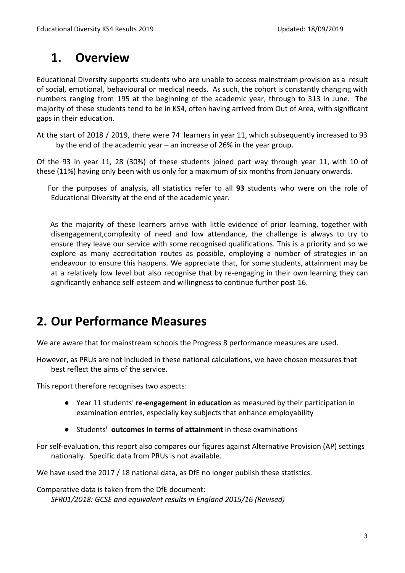### **1. Overview**

Educational Diversity supports students who are unable to access mainstream provision as a result of social, emotional, behavioural or medical needs. As such, the cohort is constantly changing with numbers ranging from 195 at the beginning of the academic year, through to 313 in June. The majority of these students tend to be in KS4, often having arrived from Out of Area, with significant gaps in their education.

At the start of 2018 / 2019, there were 74 learners in year 11, which subsequently increased to 93 by the end of the academic year – an increase of 26% in the year group.

Of the 93 in year 11, 28 (30%) of these students joined part way through year 11, with 10 of these (11%) having only been with us only for a maximum of six months from January onwards.

For the purposes of analysis, all statistics refer to all **93** students who were on the role of Educational Diversity at the end of the academic year.

As the majority of these learners arrive with little evidence of prior learning, together with disengagement,complexity of need and low attendance, the challenge is always to try to ensure they leave our service with some recognised qualifications. This is a priority and so we explore as many accreditation routes as possible, employing a number of strategies in an endeavour to ensure this happens. We appreciate that, for some students, attainment may be at a relatively low level but also recognise that by re-engaging in their own learning they can significantly enhance self-esteem and willingness to continue further post-16.

### **2. Our Performance Measures**

We are aware that for mainstream schools the Progress 8 performance measures are used.

However, as PRUs are not included in these national calculations, we have chosen measures that best reflect the aims of the service.

This report therefore recognises two aspects:

- Year 11 students' **re-engagement in education** as measured by their participation in examination entries, especially key subjects that enhance employability
- Students' **outcomes in terms of attainment** in these examinations

For self-evaluation, this report also compares our figures against Alternative Provision (AP) settings nationally. Specific data from PRUs is not available.

We have used the 2017 / 18 national data, as DfE no longer publish these statistics.

Comparative data is taken from the DfE document: *SFR01/2018: GCSE and equivalent results in England 2015/16 (Revised)*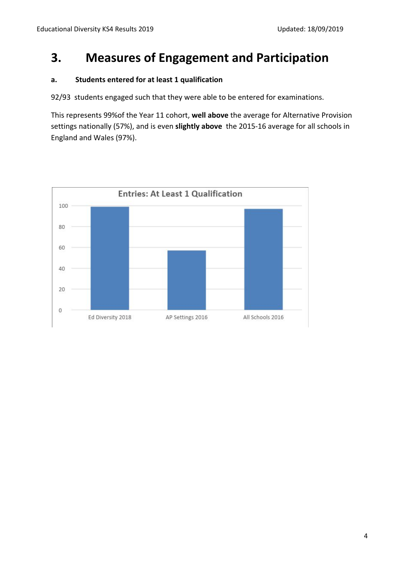### **3. Measures of Engagement and Participation**

#### **a. Students entered for at least 1 qualification**

92/93 students engaged such that they were able to be entered for examinations.

This represents 99%of the Year 11 cohort, **well above** the average for Alternative Provision settings nationally (57%), and is even **slightly above** the 2015-16 average for all schools in England and Wales (97%).

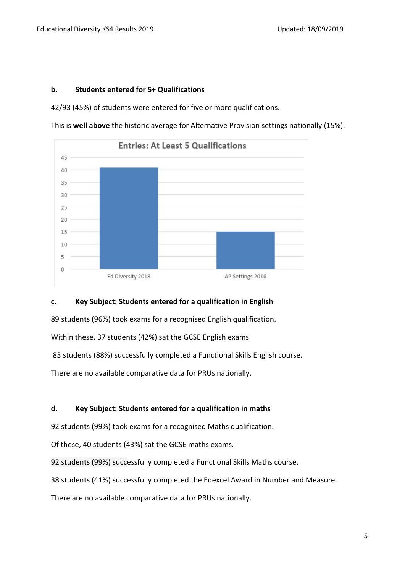#### **b. Students entered for 5+ Qualifications**

42/93 (45%) of students were entered for five or more qualifications.

This is **well above** the historic average for Alternative Provision settings nationally (15%).



#### **c. Key Subject: Students entered for a qualification in English**

89 students (96%) took exams for a recognised English qualification.

Within these, 37 students (42%) sat the GCSE English exams.

83 students (88%) successfully completed a Functional Skills English course.

There are no available comparative data for PRUs nationally.

#### **d. Key Subject: Students entered for a qualification in maths**

92 students (99%) took exams for a recognised Maths qualification.

Of these, 40 students (43%) sat the GCSE maths exams.

92 students (99%) successfully completed a Functional Skills Maths course.

38 students (41%) successfully completed the Edexcel Award in Number and Measure.

There are no available comparative data for PRUs nationally.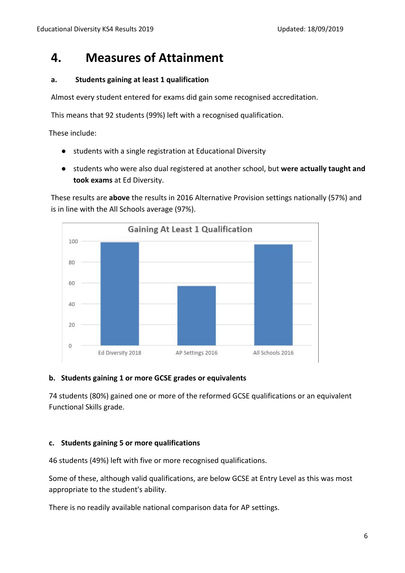### **4. Measures of Attainment**

#### **a. Students gaining at least 1 qualification**

Almost every student entered for exams did gain some recognised accreditation.

This means that 92 students (99%) left with a recognised qualification.

These include:

- students with a single registration at Educational Diversity
- students who were also dual registered at another school, but **were actually taught and took exams** at Ed Diversity.

These results are **above** the results in 2016 Alternative Provision settings nationally (57%) and is in line with the All Schools average (97%).



#### **b. Students gaining 1 or more GCSE grades or equivalents**

74 students (80%) gained one or more of the reformed GCSE qualifications or an equivalent Functional Skills grade.

#### **c. Students gaining 5 or more qualifications**

46 students (49%) left with five or more recognised qualifications.

Some of these, although valid qualifications, are below GCSE at Entry Level as this was most appropriate to the student's ability.

There is no readily available national comparison data for AP settings.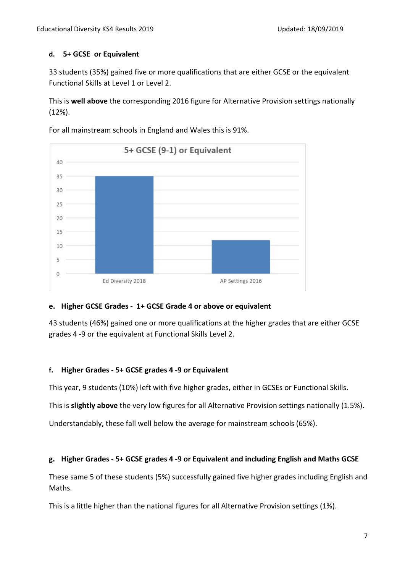#### **d. 5+ GCSE or Equivalent**

33 students (35%) gained five or more qualifications that are either GCSE or the equivalent Functional Skills at Level 1 or Level 2.

This is **well above** the corresponding 2016 figure for Alternative Provision settings nationally (12%).



For all mainstream schools in England and Wales this is 91%.

#### **e. Higher GCSE Grades - 1+ GCSE Grade 4 or above or equivalent**

43 students (46%) gained one or more qualifications at the higher grades that are either GCSE grades 4 -9 or the equivalent at Functional Skills Level 2.

#### **f. Higher Grades - 5+ GCSE grades 4 -9 or Equivalent**

This year, 9 students (10%) left with five higher grades, either in GCSEs or Functional Skills.

This is **slightly above** the very low figures for all Alternative Provision settings nationally (1.5%).

Understandably, these fall well below the average for mainstream schools (65%).

#### **g. Higher Grades - 5+ GCSE grades 4 -9 or Equivalent and including English and Maths GCSE**

These same 5 of these students (5%) successfully gained five higher grades including English and Maths.

This is a little higher than the national figures for all Alternative Provision settings (1%).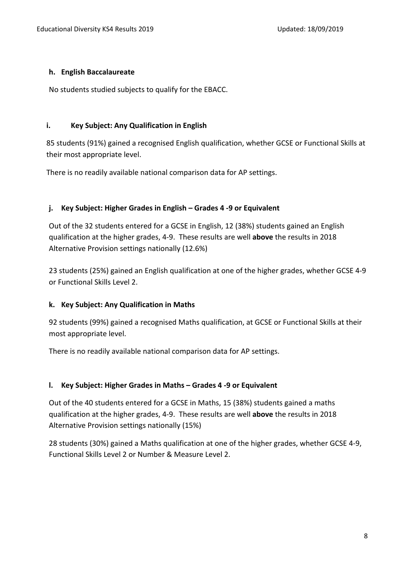#### **h. English Baccalaureate**

No students studied subjects to qualify for the EBACC.

#### **i. Key Subject: Any Qualification in English**

85 students (91%) gained a recognised English qualification, whether GCSE or Functional Skills at their most appropriate level.

There is no readily available national comparison data for AP settings.

#### **j. Key Subject: Higher Grades in English – Grades 4 -9 or Equivalent**

Out of the 32 students entered for a GCSE in English, 12 (38%) students gained an English qualification at the higher grades, 4-9. These results are well **above** the results in 2018 Alternative Provision settings nationally (12.6%)

23 students (25%) gained an English qualification at one of the higher grades, whether GCSE 4-9 or Functional Skills Level 2.

#### **k. Key Subject: Any Qualification in Maths**

92 students (99%) gained a recognised Maths qualification, at GCSE or Functional Skills at their most appropriate level.

There is no readily available national comparison data for AP settings.

#### **l. Key Subject: Higher Grades in Maths – Grades 4 -9 or Equivalent**

Out of the 40 students entered for a GCSE in Maths, 15 (38%) students gained a maths qualification at the higher grades, 4-9. These results are well **above** the results in 2018 Alternative Provision settings nationally (15%)

28 students (30%) gained a Maths qualification at one of the higher grades, whether GCSE 4-9, Functional Skills Level 2 or Number & Measure Level 2.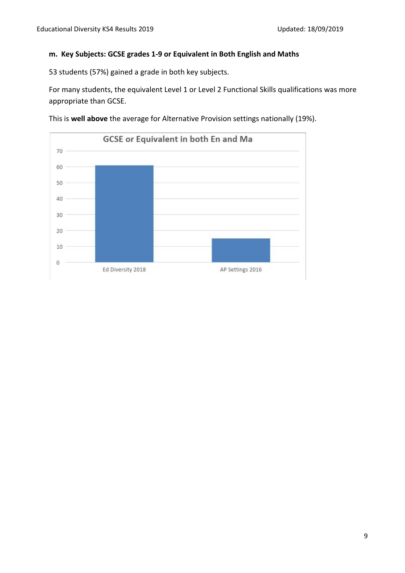#### **m. Key Subjects: GCSE grades 1-9 or Equivalent in Both English and Maths**

53 students (57%) gained a grade in both key subjects.

For many students, the equivalent Level 1 or Level 2 Functional Skills qualifications was more appropriate than GCSE.



This is **well above** the average for Alternative Provision settings nationally (19%).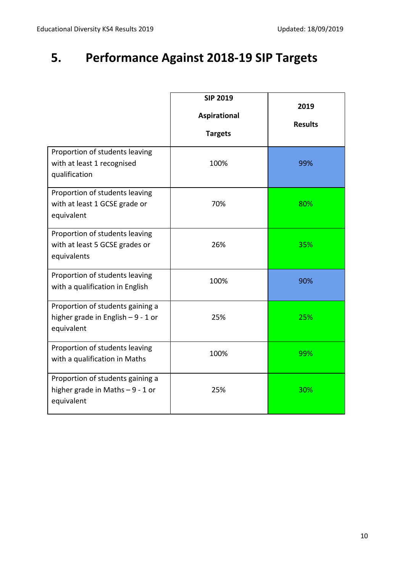## **5. Performance Against 2018-19 SIP Targets**

|                                                                                       | <b>SIP 2019</b><br><b>Aspirational</b><br><b>Targets</b> | 2019<br><b>Results</b> |
|---------------------------------------------------------------------------------------|----------------------------------------------------------|------------------------|
| Proportion of students leaving<br>with at least 1 recognised<br>qualification         | 100%                                                     | 99%                    |
| Proportion of students leaving<br>with at least 1 GCSE grade or<br>equivalent         | 70%                                                      | 80%                    |
| Proportion of students leaving<br>with at least 5 GCSE grades or<br>equivalents       | 26%                                                      | 35%                    |
| Proportion of students leaving<br>with a qualification in English                     | 100%                                                     | 90%                    |
| Proportion of students gaining a<br>higher grade in English $-9 - 1$ or<br>equivalent | 25%                                                      | 25%                    |
| Proportion of students leaving<br>with a qualification in Maths                       | 100%                                                     | 99%                    |
| Proportion of students gaining a<br>higher grade in Maths $-9 - 1$ or<br>equivalent   | 25%                                                      | 30%                    |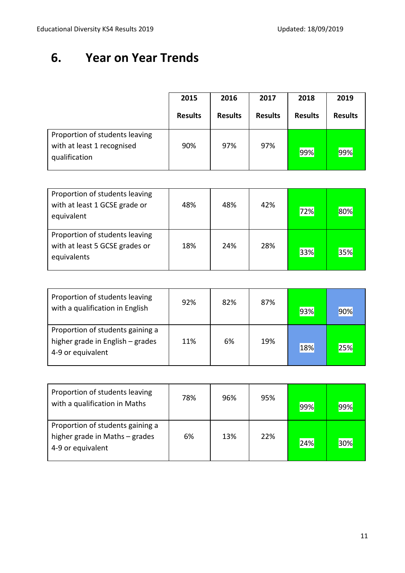### **6. Year on Year Trends**

|                                                                               | 2015           | 2016           | 2017           | 2018           | 2019           |
|-------------------------------------------------------------------------------|----------------|----------------|----------------|----------------|----------------|
|                                                                               | <b>Results</b> | <b>Results</b> | <b>Results</b> | <b>Results</b> | <b>Results</b> |
| Proportion of students leaving<br>with at least 1 recognised<br>qualification | 90%            | 97%            | 97%            | 99%            | 99%            |

| Proportion of students leaving<br>with at least 1 GCSE grade or<br>equivalent   | 48% | 48% | 42% | 72% | 80% |
|---------------------------------------------------------------------------------|-----|-----|-----|-----|-----|
| Proportion of students leaving<br>with at least 5 GCSE grades or<br>equivalents | 18% | 24% | 28% | 33% | 35% |

| Proportion of students leaving<br>with a qualification in English                         | 92% | 82% | 87% | 93% | 90% |
|-------------------------------------------------------------------------------------------|-----|-----|-----|-----|-----|
| Proportion of students gaining a<br>higher grade in English - grades<br>4-9 or equivalent | 11% | 6%  | 19% | 18% | 25% |

| Proportion of students leaving<br>with a qualification in Maths                         | 78% | 96% | 95% | 99% | 99% |
|-----------------------------------------------------------------------------------------|-----|-----|-----|-----|-----|
| Proportion of students gaining a<br>higher grade in Maths - grades<br>4-9 or equivalent | 6%  | 13% | 22% | 24% | 30% |